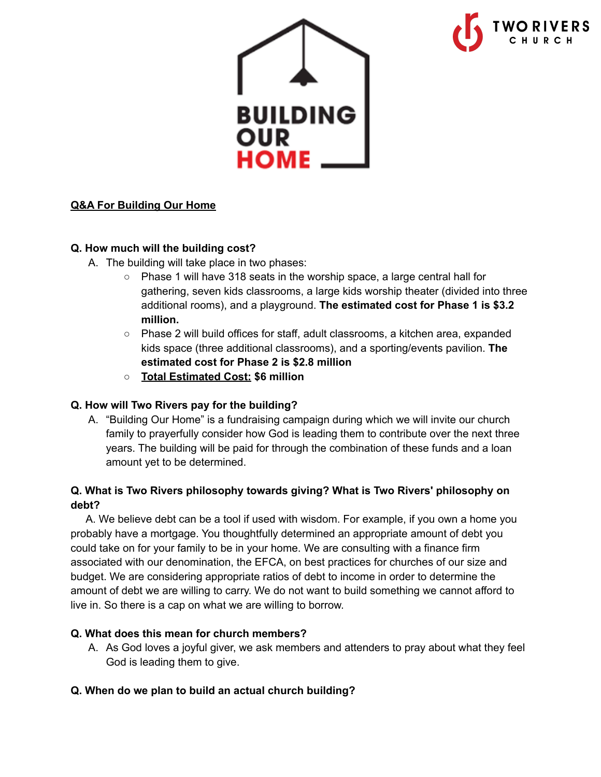

## **Q&A For Building Our Home**

#### **Q. How much will the building cost?**

- A. The building will take place in two phases:
	- **○** Phase 1 will have 318 seats in the worship space, a large central hall for gathering, seven kids classrooms, a large kids worship theater (divided into three additional rooms), and a playground. **The estimated cost for Phase 1 is \$3.2 million.**
	- **○** Phase 2 will build offices for staff, adult classrooms, a kitchen area, expanded kids space (three additional classrooms), and a sporting/events pavilion. **The estimated cost for Phase 2 is \$2.8 million**
	- **○ Total Estimated Cost: \$6 million**

#### **Q. How will Two Rivers pay for the building?**

A. "Building Our Home" is a fundraising campaign during which we will invite our church family to prayerfully consider how God is leading them to contribute over the next three years. The building will be paid for through the combination of these funds and a loan amount yet to be determined.

## **Q. What is Two Rivers philosophy towards giving? What is Two Rivers' philosophy on debt?**

A. We believe debt can be a tool if used with wisdom. For example, if you own a home you probably have a mortgage. You thoughtfully determined an appropriate amount of debt you could take on for your family to be in your home. We are consulting with a finance firm associated with our denomination, the EFCA, on best practices for churches of our size and budget. We are considering appropriate ratios of debt to income in order to determine the amount of debt we are willing to carry. We do not want to build something we cannot afford to live in. So there is a cap on what we are willing to borrow.

#### **Q. What does this mean for church members?**

A. As God loves a joyful giver, we ask members and attenders to pray about what they feel God is leading them to give.

### **Q. When do we plan to build an actual church building?**